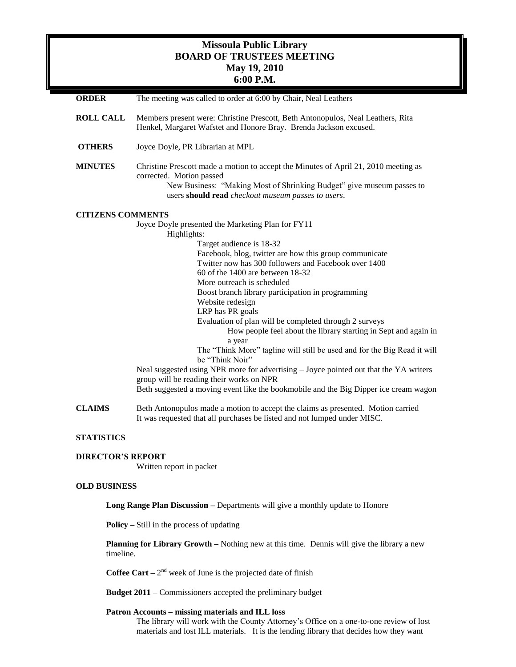# **Missoula Public Library BOARD OF TRUSTEES MEETING May 19, 2010 6:00 P.M.**

| <b>ORDER</b>        | The meeting was called to order at 6:00 by Chair, Neal Leathers                                                                                                                                                                                                                                                                                                                                                                                                                                                                                                                                                                                                                                                                                                                                                                                                                |
|---------------------|--------------------------------------------------------------------------------------------------------------------------------------------------------------------------------------------------------------------------------------------------------------------------------------------------------------------------------------------------------------------------------------------------------------------------------------------------------------------------------------------------------------------------------------------------------------------------------------------------------------------------------------------------------------------------------------------------------------------------------------------------------------------------------------------------------------------------------------------------------------------------------|
| <b>ROLL CALL</b>    | Members present were: Christine Prescott, Beth Antonopulos, Neal Leathers, Rita<br>Henkel, Margaret Wafstet and Honore Bray. Brenda Jackson excused.                                                                                                                                                                                                                                                                                                                                                                                                                                                                                                                                                                                                                                                                                                                           |
| <b>OTHERS</b>       | Joyce Doyle, PR Librarian at MPL                                                                                                                                                                                                                                                                                                                                                                                                                                                                                                                                                                                                                                                                                                                                                                                                                                               |
| <b>MINUTES</b>      | Christine Prescott made a motion to accept the Minutes of April 21, 2010 meeting as<br>corrected. Motion passed<br>New Business: "Making Most of Shrinking Budget" give museum passes to<br>users should read checkout museum passes to users.                                                                                                                                                                                                                                                                                                                                                                                                                                                                                                                                                                                                                                 |
|                     | <b>CITIZENS COMMENTS</b><br>Joyce Doyle presented the Marketing Plan for FY11<br>Highlights:<br>Target audience is 18-32<br>Facebook, blog, twitter are how this group communicate<br>Twitter now has 300 followers and Facebook over 1400<br>$60$ of the 1400 are between 18-32<br>More outreach is scheduled<br>Boost branch library participation in programming<br>Website redesign<br>LRP has PR goals<br>Evaluation of plan will be completed through 2 surveys<br>How people feel about the library starting in Sept and again in<br>a year<br>The "Think More" tagline will still be used and for the Big Read it will<br>be "Think Noir"<br>Neal suggested using NPR more for advertising – Joyce pointed out that the YA writers<br>group will be reading their works on NPR<br>Beth suggested a moving event like the bookmobile and the Big Dipper ice cream wagon |
| <b>CLAIMS</b>       | Beth Antonopulos made a motion to accept the claims as presented. Motion carried<br>It was requested that all purchases be listed and not lumped under MISC.                                                                                                                                                                                                                                                                                                                                                                                                                                                                                                                                                                                                                                                                                                                   |
| <b>STATISTICS</b>   |                                                                                                                                                                                                                                                                                                                                                                                                                                                                                                                                                                                                                                                                                                                                                                                                                                                                                |
|                     | <b>DIRECTOR'S REPORT</b><br>Written report in packet                                                                                                                                                                                                                                                                                                                                                                                                                                                                                                                                                                                                                                                                                                                                                                                                                           |
| <b>OLD BUSINESS</b> |                                                                                                                                                                                                                                                                                                                                                                                                                                                                                                                                                                                                                                                                                                                                                                                                                                                                                |
|                     | Long Range Plan Discussion - Departments will give a monthly update to Honore                                                                                                                                                                                                                                                                                                                                                                                                                                                                                                                                                                                                                                                                                                                                                                                                  |
|                     | <b>Policy</b> $-$ Still in the process of updating                                                                                                                                                                                                                                                                                                                                                                                                                                                                                                                                                                                                                                                                                                                                                                                                                             |
|                     | <b>Planning for Library Growth</b> – Nothing new at this time. Dennis will give the library a new<br>timeline.                                                                                                                                                                                                                                                                                                                                                                                                                                                                                                                                                                                                                                                                                                                                                                 |
|                     | <b>Coffee Cart</b> – $2^{nd}$ week of June is the projected date of finish                                                                                                                                                                                                                                                                                                                                                                                                                                                                                                                                                                                                                                                                                                                                                                                                     |
|                     | <b>Budget 2011</b> – Commissioners accepted the preliminary budget                                                                                                                                                                                                                                                                                                                                                                                                                                                                                                                                                                                                                                                                                                                                                                                                             |
|                     | Patron Accounts - missing materials and ILL loss                                                                                                                                                                                                                                                                                                                                                                                                                                                                                                                                                                                                                                                                                                                                                                                                                               |

The library will work with the County Attorney's Office on a one-to-one review of lost materials and lost ILL materials. It is the lending library that decides how they want